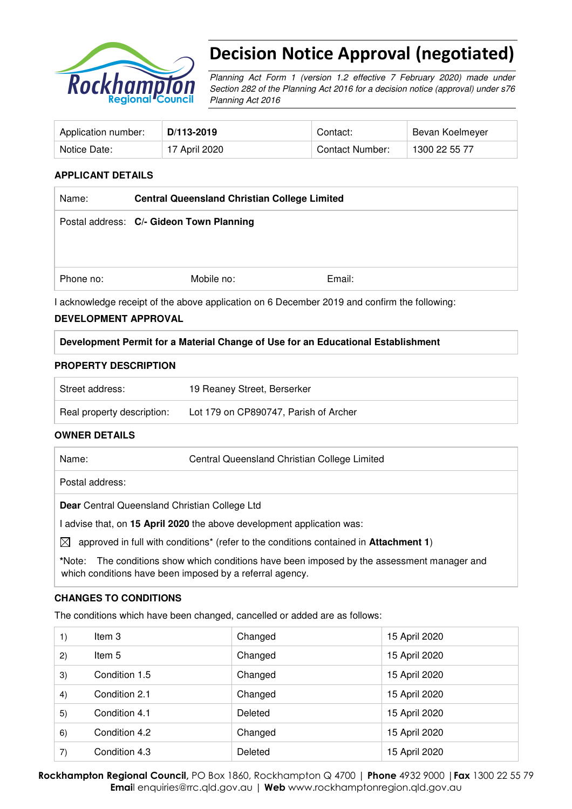

# Decision Notice Approval (negotiated)

Planning Act Form 1 (version 1.2 effective 7 February 2020) made under Section 282 of the Planning Act 2016 for a decision notice (approval) under s76 Planning Act 2016

| Application number: | D/113-2019    | Contact:        | Bevan Koelmeyer |
|---------------------|---------------|-----------------|-----------------|
| Notice Date:        | 17 April 2020 | Contact Number: | 1300 22 55 77   |

### **APPLICANT DETAILS**

| Name:     | <b>Central Queensland Christian College Limited</b> |        |  |
|-----------|-----------------------------------------------------|--------|--|
|           | Postal address: C/- Gideon Town Planning            |        |  |
|           |                                                     |        |  |
|           |                                                     |        |  |
| Phone no: | Mobile no:                                          | Email: |  |

I acknowledge receipt of the above application on 6 December 2019 and confirm the following:

#### **DEVELOPMENT APPROVAL**

#### **Development Permit for a Material Change of Use for an Educational Establishment**

#### **PROPERTY DESCRIPTION**

| Street address:            | 19 Reaney Street, Berserker           |
|----------------------------|---------------------------------------|
| Real property description: | Lot 179 on CP890747, Parish of Archer |

#### **OWNER DETAILS**

|             | Central Queensland Christian College Limited<br>Name:                                                    |  |  |
|-------------|----------------------------------------------------------------------------------------------------------|--|--|
|             | Postal address:                                                                                          |  |  |
|             | <b>Dear</b> Central Queensland Christian College Ltd                                                     |  |  |
|             | advise that, on 15 April 2020 the above development application was:                                     |  |  |
| $\boxtimes$ | approved in full with conditions <sup>*</sup> (refer to the conditions contained in <b>Attachment 1)</b> |  |  |

**\***Note:The conditions show which conditions have been imposed by the assessment manager and which conditions have been imposed by a referral agency.

#### **CHANGES TO CONDITIONS**

The conditions which have been changed, cancelled or added are as follows:

| 1)               | Item 3        | Changed | 15 April 2020 |
|------------------|---------------|---------|---------------|
| 2)               | Item 5        | Changed | 15 April 2020 |
| 3)               | Condition 1.5 | Changed | 15 April 2020 |
| 4)               | Condition 2.1 | Changed | 15 April 2020 |
| 5)               | Condition 4.1 | Deleted | 15 April 2020 |
| 6)               | Condition 4.2 | Changed | 15 April 2020 |
| $\left(7\right)$ | Condition 4.3 | Deleted | 15 April 2020 |

Rockhampton Regional Council, PO Box 1860, Rockhampton Q 4700 | Phone 4932 9000 | Fax 1300 22 55 79 **Email** enquiries@rrc.qld.gov.au | Web www.rockhamptonregion.qld.gov.au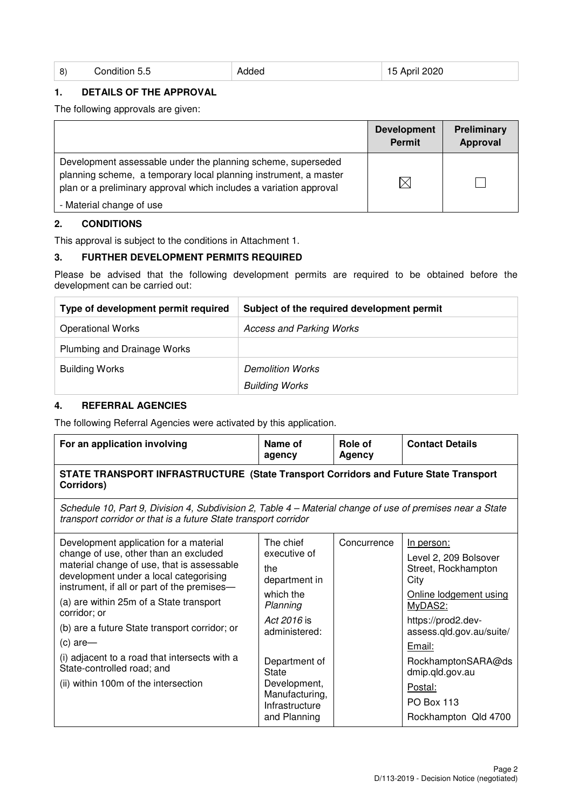| $\left 8\right>$ | Condition 5.5 | Addec | April 2020<br>15 |
|------------------|---------------|-------|------------------|
|                  |               |       | _____            |

# **1. DETAILS OF THE APPROVAL**

The following approvals are given:

|                                                                                                                                                                                                        | <b>Development</b><br><b>Permit</b> | <b>Preliminary</b><br>Approval |
|--------------------------------------------------------------------------------------------------------------------------------------------------------------------------------------------------------|-------------------------------------|--------------------------------|
| Development assessable under the planning scheme, superseded<br>planning scheme, a temporary local planning instrument, a master<br>plan or a preliminary approval which includes a variation approval | $\boxtimes$                         |                                |
| - Material change of use                                                                                                                                                                               |                                     |                                |

#### **2. CONDITIONS**

This approval is subject to the conditions in Attachment 1.

#### **3. FURTHER DEVELOPMENT PERMITS REQUIRED**

Please be advised that the following development permits are required to be obtained before the development can be carried out:

| Type of development permit required | Subject of the required development permit |
|-------------------------------------|--------------------------------------------|
| <b>Operational Works</b>            | <b>Access and Parking Works</b>            |
| Plumbing and Drainage Works         |                                            |
| <b>Building Works</b>               | <b>Demolition Works</b>                    |
|                                     | <b>Building Works</b>                      |

# **4. REFERRAL AGENCIES**

The following Referral Agencies were activated by this application.

| For an application involving                                                                                                                                                 | Name of<br>agency                    | Role of<br><b>Agency</b> | <b>Contact Details</b>                               |
|------------------------------------------------------------------------------------------------------------------------------------------------------------------------------|--------------------------------------|--------------------------|------------------------------------------------------|
| STATE TRANSPORT INFRASTRUCTURE (State Transport Corridors and Future State Transport<br>Corridors)                                                                           |                                      |                          |                                                      |
| Schedule 10, Part 9, Division 4, Subdivision 2, Table 4 – Material change of use of premises near a State<br>transport corridor or that is a future State transport corridor |                                      |                          |                                                      |
| Development application for a material                                                                                                                                       | The chief                            | Concurrence              | In person:                                           |
| change of use, other than an excluded<br>material change of use, that is assessable<br>development under a local categorising<br>instrument, if all or part of the premises- | executive of<br>the<br>department in |                          | Level 2, 209 Bolsover<br>Street, Rockhampton<br>City |
| (a) are within 25m of a State transport<br>corridor; or                                                                                                                      | which the<br>Planning                |                          | Online lodgement using<br>MyDAS2:                    |
| (b) are a future State transport corridor; or                                                                                                                                | Act 2016 is<br>administered:         |                          | https://prod2.dev-<br>assess.qld.gov.au/suite/       |
| $(c)$ are-                                                                                                                                                                   |                                      |                          | Email:                                               |
| (i) adjacent to a road that intersects with a<br>State-controlled road; and                                                                                                  | Department of<br>State               |                          | RockhamptonSARA@ds<br>dmip.qld.gov.au                |
| (ii) within 100m of the intersection                                                                                                                                         | Development,                         |                          | Postal:                                              |
|                                                                                                                                                                              | Manufacturing,<br>Infrastructure     |                          | <b>PO Box 113</b>                                    |
|                                                                                                                                                                              | and Planning                         |                          | Rockhampton Qld 4700                                 |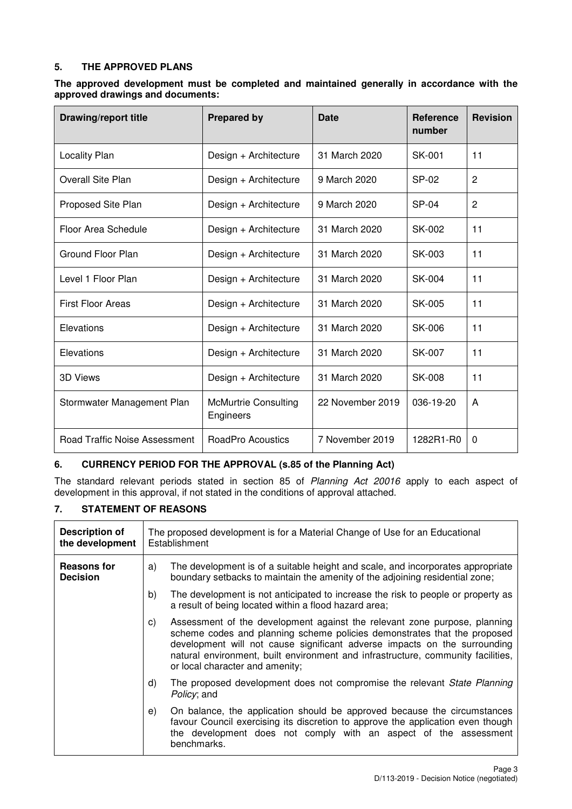#### **5. THE APPROVED PLANS**

#### **The approved development must be completed and maintained generally in accordance with the approved drawings and documents:**

| <b>Drawing/report title</b>          | <b>Prepared by</b>                       | Date             | <b>Reference</b><br>number | <b>Revision</b> |
|--------------------------------------|------------------------------------------|------------------|----------------------------|-----------------|
| Locality Plan                        | Design + Architecture                    | 31 March 2020    | SK-001                     | 11              |
| <b>Overall Site Plan</b>             | Design + Architecture                    | 9 March 2020     | SP-02                      | 2               |
| Proposed Site Plan                   | Design + Architecture                    | 9 March 2020     | $SP-04$                    | 2               |
| Floor Area Schedule                  | Design + Architecture                    | 31 March 2020    | SK-002                     | 11              |
| <b>Ground Floor Plan</b>             | Design + Architecture                    | 31 March 2020    | SK-003                     | 11              |
| Level 1 Floor Plan                   | Design + Architecture                    | 31 March 2020    | SK-004                     | 11              |
| <b>First Floor Areas</b>             | Design + Architecture                    | 31 March 2020    | SK-005                     | 11              |
| Elevations                           | Design + Architecture                    | 31 March 2020    | SK-006                     | 11              |
| Elevations                           | Design + Architecture                    | 31 March 2020    | SK-007                     | 11              |
| 3D Views                             | Design + Architecture                    | 31 March 2020    | SK-008                     | 11              |
| Stormwater Management Plan           | <b>McMurtrie Consulting</b><br>Engineers | 22 November 2019 | 036-19-20                  | A               |
| <b>Road Traffic Noise Assessment</b> | RoadPro Acoustics                        | 7 November 2019  | 1282R1-R0                  | 0               |

# **6. CURRENCY PERIOD FOR THE APPROVAL (s.85 of the Planning Act)**

The standard relevant periods stated in section 85 of Planning Act 20016 apply to each aspect of development in this approval, if not stated in the conditions of approval attached.

#### **7. STATEMENT OF REASONS**

| <b>Description of</b><br>the development | The proposed development is for a Material Change of Use for an Educational<br>Establishment                                                                                                                                                                                                                                                                    |  |  |
|------------------------------------------|-----------------------------------------------------------------------------------------------------------------------------------------------------------------------------------------------------------------------------------------------------------------------------------------------------------------------------------------------------------------|--|--|
| <b>Reasons for</b><br><b>Decision</b>    | The development is of a suitable height and scale, and incorporates appropriate<br>a)<br>boundary setbacks to maintain the amenity of the adjoining residential zone;                                                                                                                                                                                           |  |  |
|                                          | The development is not anticipated to increase the risk to people or property as<br>b)<br>a result of being located within a flood hazard area;                                                                                                                                                                                                                 |  |  |
|                                          | Assessment of the development against the relevant zone purpose, planning<br>C)<br>scheme codes and planning scheme policies demonstrates that the proposed<br>development will not cause significant adverse impacts on the surrounding<br>natural environment, built environment and infrastructure, community facilities,<br>or local character and amenity; |  |  |
|                                          | The proposed development does not compromise the relevant State Planning<br>d)<br><i>Policy</i> ; and                                                                                                                                                                                                                                                           |  |  |
|                                          | On balance, the application should be approved because the circumstances<br>e)<br>favour Council exercising its discretion to approve the application even though<br>the development does not comply with an aspect of the assessment<br>benchmarks.                                                                                                            |  |  |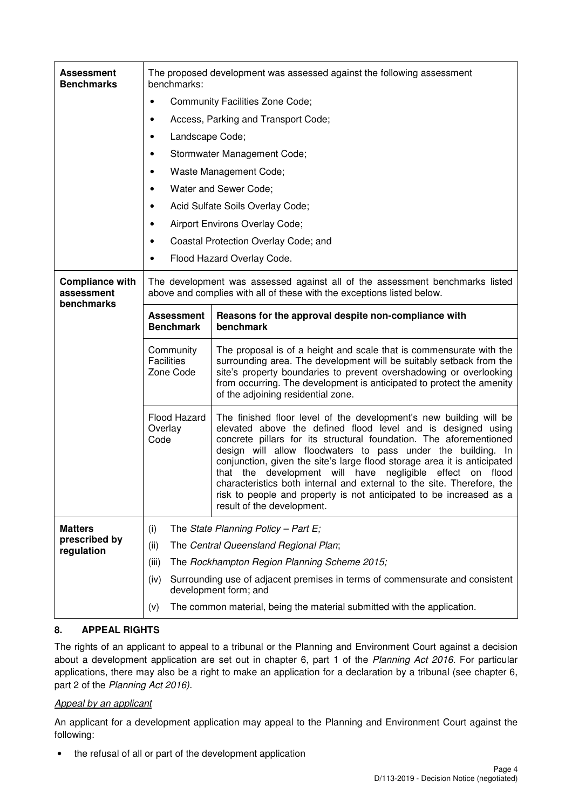| Assessment<br><b>Benchmarks</b>                    | The proposed development was assessed against the following assessment<br>benchmarks:                                                                  |                                                                                                                                                                                                                                                                                                                                                                                                                                                                                                                                                                                                  |  |  |
|----------------------------------------------------|--------------------------------------------------------------------------------------------------------------------------------------------------------|--------------------------------------------------------------------------------------------------------------------------------------------------------------------------------------------------------------------------------------------------------------------------------------------------------------------------------------------------------------------------------------------------------------------------------------------------------------------------------------------------------------------------------------------------------------------------------------------------|--|--|
|                                                    | Community Facilities Zone Code;<br>$\bullet$                                                                                                           |                                                                                                                                                                                                                                                                                                                                                                                                                                                                                                                                                                                                  |  |  |
|                                                    | Access, Parking and Transport Code;<br>٠                                                                                                               |                                                                                                                                                                                                                                                                                                                                                                                                                                                                                                                                                                                                  |  |  |
|                                                    | Landscape Code;<br>٠                                                                                                                                   |                                                                                                                                                                                                                                                                                                                                                                                                                                                                                                                                                                                                  |  |  |
|                                                    | ٠                                                                                                                                                      | Stormwater Management Code;                                                                                                                                                                                                                                                                                                                                                                                                                                                                                                                                                                      |  |  |
|                                                    | ٠                                                                                                                                                      | Waste Management Code;                                                                                                                                                                                                                                                                                                                                                                                                                                                                                                                                                                           |  |  |
|                                                    | ٠                                                                                                                                                      | Water and Sewer Code;                                                                                                                                                                                                                                                                                                                                                                                                                                                                                                                                                                            |  |  |
|                                                    | ٠                                                                                                                                                      | Acid Sulfate Soils Overlay Code;                                                                                                                                                                                                                                                                                                                                                                                                                                                                                                                                                                 |  |  |
|                                                    | ٠                                                                                                                                                      | Airport Environs Overlay Code;                                                                                                                                                                                                                                                                                                                                                                                                                                                                                                                                                                   |  |  |
|                                                    | ٠                                                                                                                                                      | Coastal Protection Overlay Code; and                                                                                                                                                                                                                                                                                                                                                                                                                                                                                                                                                             |  |  |
|                                                    | ٠                                                                                                                                                      | Flood Hazard Overlay Code.                                                                                                                                                                                                                                                                                                                                                                                                                                                                                                                                                                       |  |  |
| <b>Compliance with</b><br>assessment<br>benchmarks | The development was assessed against all of the assessment benchmarks listed<br>above and complies with all of these with the exceptions listed below. |                                                                                                                                                                                                                                                                                                                                                                                                                                                                                                                                                                                                  |  |  |
| <b>Assessment</b><br><b>Benchmark</b>              |                                                                                                                                                        | Reasons for the approval despite non-compliance with<br>benchmark                                                                                                                                                                                                                                                                                                                                                                                                                                                                                                                                |  |  |
|                                                    | Community<br><b>Facilities</b><br>Zone Code                                                                                                            | The proposal is of a height and scale that is commensurate with the<br>surrounding area. The development will be suitably setback from the<br>site's property boundaries to prevent overshadowing or overlooking<br>from occurring. The development is anticipated to protect the amenity<br>of the adjoining residential zone.                                                                                                                                                                                                                                                                  |  |  |
|                                                    | Flood Hazard<br>Overlay<br>Code                                                                                                                        | The finished floor level of the development's new building will be<br>elevated above the defined flood level and is designed using<br>concrete pillars for its structural foundation. The aforementioned<br>design will allow floodwaters to pass under the building. In<br>conjunction, given the site's large flood storage area it is anticipated<br>that the development will have negligible effect on flood<br>characteristics both internal and external to the site. Therefore, the<br>risk to people and property is not anticipated to be increased as a<br>result of the development. |  |  |
| <b>Matters</b>                                     | (i)                                                                                                                                                    | The State Planning Policy - Part E;                                                                                                                                                                                                                                                                                                                                                                                                                                                                                                                                                              |  |  |
| prescribed by<br>regulation                        | (ii)                                                                                                                                                   | The Central Queensland Regional Plan;                                                                                                                                                                                                                                                                                                                                                                                                                                                                                                                                                            |  |  |
|                                                    | (iii)                                                                                                                                                  | The Rockhampton Region Planning Scheme 2015;                                                                                                                                                                                                                                                                                                                                                                                                                                                                                                                                                     |  |  |
|                                                    | (iv)                                                                                                                                                   | Surrounding use of adjacent premises in terms of commensurate and consistent<br>development form; and                                                                                                                                                                                                                                                                                                                                                                                                                                                                                            |  |  |
|                                                    | (v)                                                                                                                                                    | The common material, being the material submitted with the application.                                                                                                                                                                                                                                                                                                                                                                                                                                                                                                                          |  |  |

# **8. APPEAL RIGHTS**

The rights of an applicant to appeal to a tribunal or the Planning and Environment Court against a decision about a development application are set out in chapter 6, part 1 of the Planning Act 2016. For particular applications, there may also be a right to make an application for a declaration by a tribunal (see chapter 6, part 2 of the Planning Act 2016).

#### Appeal by an applicant

An applicant for a development application may appeal to the Planning and Environment Court against the following:

• the refusal of all or part of the development application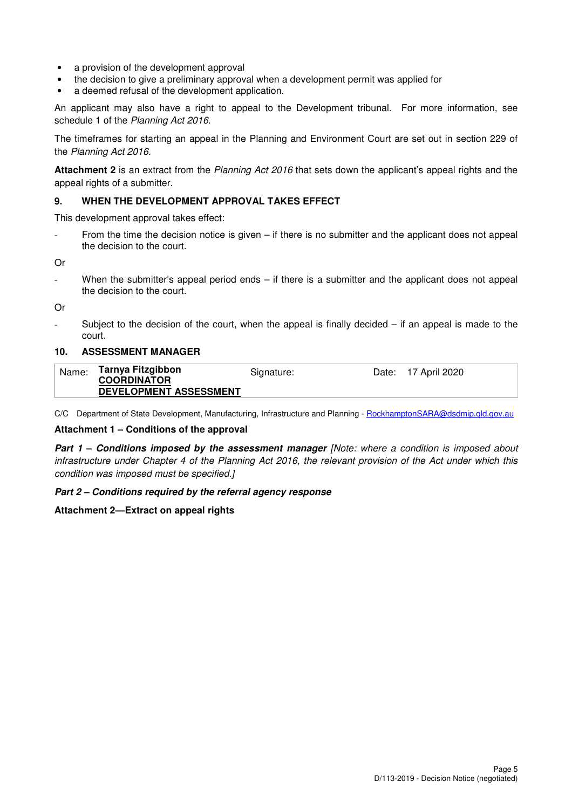- a provision of the development approval
- the decision to give a preliminary approval when a development permit was applied for
- a deemed refusal of the development application.

An applicant may also have a right to appeal to the Development tribunal. For more information, see schedule 1 of the Planning Act 2016.

The timeframes for starting an appeal in the Planning and Environment Court are set out in section 229 of the Planning Act 2016.

**Attachment 2** is an extract from the Planning Act 2016 that sets down the applicant's appeal rights and the appeal rights of a submitter.

#### **9. WHEN THE DEVELOPMENT APPROVAL TAKES EFFECT**

This development approval takes effect:

From the time the decision notice is given  $-$  if there is no submitter and the applicant does not appeal the decision to the court.

Or

When the submitter's appeal period ends  $-$  if there is a submitter and the applicant does not appeal the decision to the court.

Or

Subject to the decision of the court, when the appeal is finally decided  $-$  if an appeal is made to the court.

#### **10. ASSESSMENT MANAGER**

| Name: | Tarnya Fitzgibbon<br><b>COORDINATOR</b> | Signature: | Date: 17 April 2020 |
|-------|-----------------------------------------|------------|---------------------|
|       | DEVELOPMENT ASSESSMENT                  |            |                     |

C/C Department of State Development, Manufacturing, Infrastructure and Planning - RockhamptonSARA@dsdmip.qld.gov.au

#### **Attachment 1 – Conditions of the approval**

**Part 1 – Conditions imposed by the assessment manager [Note: where a condition is imposed about** infrastructure under Chapter 4 of the Planning Act 2016, the relevant provision of the Act under which this condition was imposed must be specified.]

#### **Part 2 – Conditions required by the referral agency response**

#### **Attachment 2—Extract on appeal rights**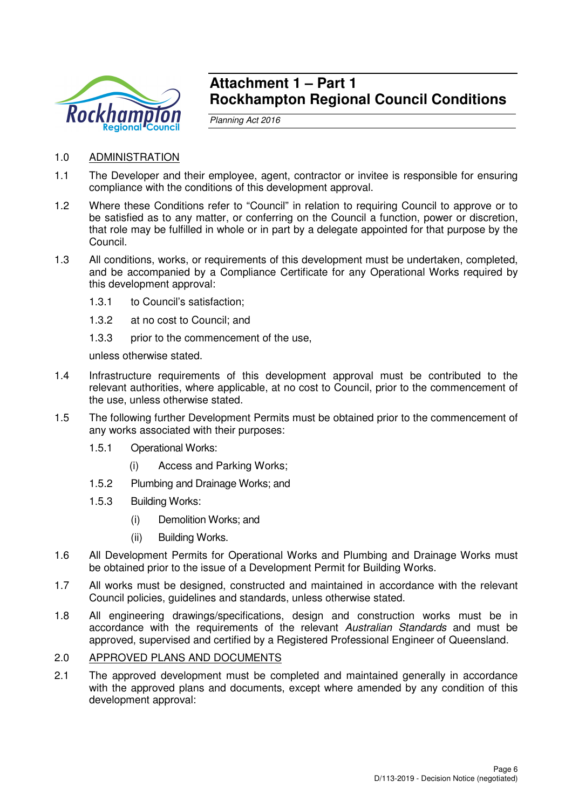

# **Attachment 1 – Part 1 Rockhampton Regional Council Conditions**

Planning Act 2016

# 1.0 ADMINISTRATION

- 1.1 The Developer and their employee, agent, contractor or invitee is responsible for ensuring compliance with the conditions of this development approval.
- 1.2 Where these Conditions refer to "Council" in relation to requiring Council to approve or to be satisfied as to any matter, or conferring on the Council a function, power or discretion, that role may be fulfilled in whole or in part by a delegate appointed for that purpose by the Council.
- 1.3 All conditions, works, or requirements of this development must be undertaken, completed, and be accompanied by a Compliance Certificate for any Operational Works required by this development approval:
	- 1.3.1 to Council's satisfaction;
	- 1.3.2 at no cost to Council; and
	- 1.3.3 prior to the commencement of the use,

unless otherwise stated.

- 1.4 Infrastructure requirements of this development approval must be contributed to the relevant authorities, where applicable, at no cost to Council, prior to the commencement of the use, unless otherwise stated.
- 1.5 The following further Development Permits must be obtained prior to the commencement of any works associated with their purposes:
	- 1.5.1 Operational Works:
		- (i) Access and Parking Works;
	- 1.5.2 Plumbing and Drainage Works; and
	- 1.5.3 Building Works:
		- (i) Demolition Works; and
		- (ii) Building Works.
- 1.6 All Development Permits for Operational Works and Plumbing and Drainage Works must be obtained prior to the issue of a Development Permit for Building Works.
- 1.7 All works must be designed, constructed and maintained in accordance with the relevant Council policies, guidelines and standards, unless otherwise stated.
- 1.8 All engineering drawings/specifications, design and construction works must be in accordance with the requirements of the relevant Australian Standards and must be approved, supervised and certified by a Registered Professional Engineer of Queensland.

# 2.0 APPROVED PLANS AND DOCUMENTS

2.1 The approved development must be completed and maintained generally in accordance with the approved plans and documents, except where amended by any condition of this development approval: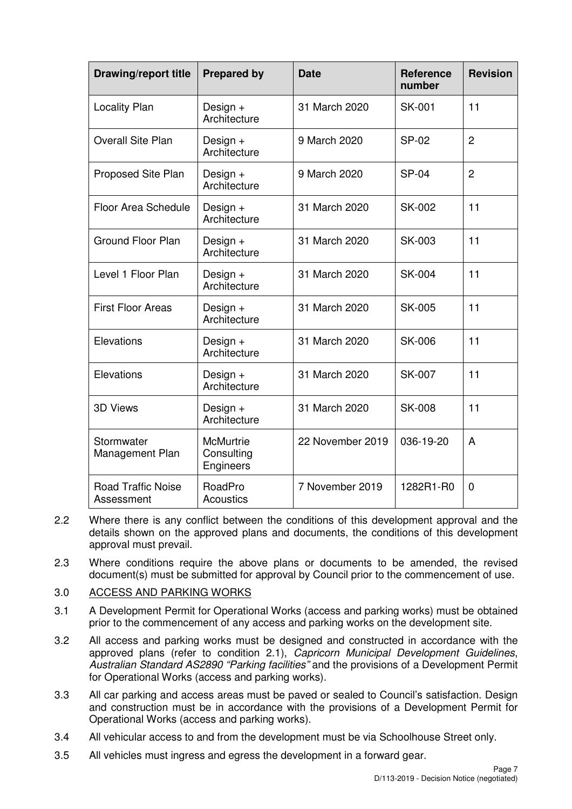| <b>Drawing/report title</b>             | <b>Prepared by</b>                          | <b>Date</b>      | <b>Reference</b><br>number | <b>Revision</b> |
|-----------------------------------------|---------------------------------------------|------------------|----------------------------|-----------------|
| <b>Locality Plan</b>                    | Design +<br>Architecture                    | 31 March 2020    | <b>SK-001</b>              | 11              |
| <b>Overall Site Plan</b>                | Design +<br>Architecture                    | 9 March 2020     | <b>SP-02</b>               | $\overline{2}$  |
| Proposed Site Plan                      | Design $+$<br>Architecture                  | 9 March 2020     | <b>SP-04</b>               | $\overline{2}$  |
| Floor Area Schedule                     | Design +<br>Architecture                    | 31 March 2020    | <b>SK-002</b>              | 11              |
| <b>Ground Floor Plan</b>                | Design +<br>Architecture                    | 31 March 2020    | SK-003                     | 11              |
| Level 1 Floor Plan                      | Design +<br>Architecture                    | 31 March 2020    | <b>SK-004</b>              | 11              |
| <b>First Floor Areas</b>                | Design +<br>Architecture                    | 31 March 2020    | <b>SK-005</b>              | 11              |
| Elevations                              | Design $+$<br>Architecture                  | 31 March 2020    | <b>SK-006</b>              | 11              |
| Elevations                              | Design +<br>Architecture                    | 31 March 2020    | <b>SK-007</b>              | 11              |
| 3D Views                                | Design +<br>Architecture                    | 31 March 2020    | <b>SK-008</b>              | 11              |
| Stormwater<br>Management Plan           | <b>McMurtrie</b><br>Consulting<br>Engineers | 22 November 2019 | 036-19-20                  | A               |
| <b>Road Traffic Noise</b><br>Assessment | RoadPro<br><b>Acoustics</b>                 | 7 November 2019  | 1282R1-R0                  | 0               |

- 2.2 Where there is any conflict between the conditions of this development approval and the details shown on the approved plans and documents, the conditions of this development approval must prevail.
- 2.3 Where conditions require the above plans or documents to be amended, the revised document(s) must be submitted for approval by Council prior to the commencement of use.

# 3.0 ACCESS AND PARKING WORKS

- 3.1 A Development Permit for Operational Works (access and parking works) must be obtained prior to the commencement of any access and parking works on the development site.
- 3.2 All access and parking works must be designed and constructed in accordance with the approved plans (refer to condition 2.1), Capricorn Municipal Development Guidelines, Australian Standard AS2890 "Parking facilities" and the provisions of a Development Permit for Operational Works (access and parking works).
- 3.3 All car parking and access areas must be paved or sealed to Council's satisfaction. Design and construction must be in accordance with the provisions of a Development Permit for Operational Works (access and parking works).
- 3.4 All vehicular access to and from the development must be via Schoolhouse Street only.
- 3.5 All vehicles must ingress and egress the development in a forward gear.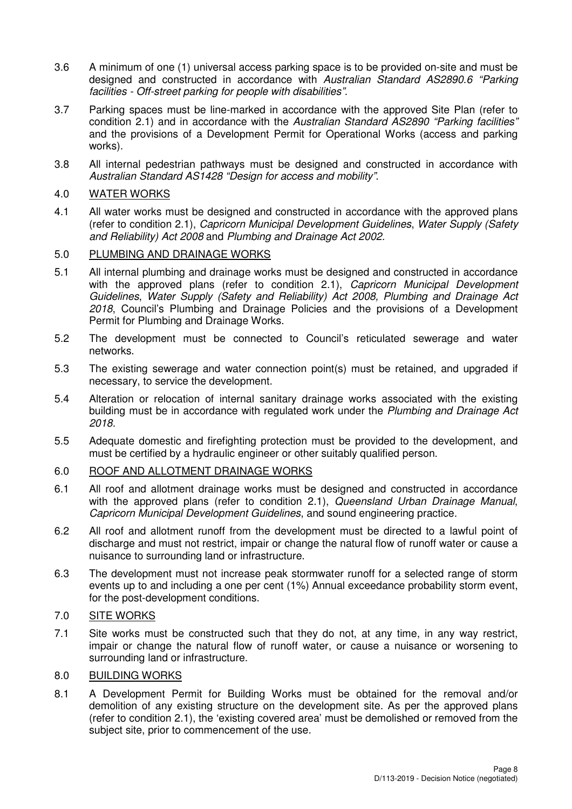- 3.6 A minimum of one (1) universal access parking space is to be provided on-site and must be designed and constructed in accordance with Australian Standard AS2890.6 "Parking facilities - Off-street parking for people with disabilities".
- 3.7 Parking spaces must be line-marked in accordance with the approved Site Plan (refer to condition 2.1) and in accordance with the Australian Standard AS2890 "Parking facilities" and the provisions of a Development Permit for Operational Works (access and parking works).
- 3.8 All internal pedestrian pathways must be designed and constructed in accordance with Australian Standard AS1428 "Design for access and mobility".

### 4.0 WATER WORKS

- 4.1 All water works must be designed and constructed in accordance with the approved plans (refer to condition 2.1), Capricorn Municipal Development Guidelines, Water Supply (Safety and Reliability) Act 2008 and Plumbing and Drainage Act 2002.
- 5.0 PLUMBING AND DRAINAGE WORKS
- 5.1 All internal plumbing and drainage works must be designed and constructed in accordance with the approved plans (refer to condition 2.1), Capricorn Municipal Development Guidelines, Water Supply (Safety and Reliability) Act 2008, Plumbing and Drainage Act 2018, Council's Plumbing and Drainage Policies and the provisions of a Development Permit for Plumbing and Drainage Works.
- 5.2 The development must be connected to Council's reticulated sewerage and water networks.
- 5.3 The existing sewerage and water connection point(s) must be retained, and upgraded if necessary, to service the development.
- 5.4 Alteration or relocation of internal sanitary drainage works associated with the existing building must be in accordance with regulated work under the Plumbing and Drainage Act 2018.
- 5.5 Adequate domestic and firefighting protection must be provided to the development, and must be certified by a hydraulic engineer or other suitably qualified person.

#### 6.0 ROOF AND ALLOTMENT DRAINAGE WORKS

- 6.1 All roof and allotment drainage works must be designed and constructed in accordance with the approved plans (refer to condition 2.1), Queensland Urban Drainage Manual, Capricorn Municipal Development Guidelines, and sound engineering practice.
- 6.2 All roof and allotment runoff from the development must be directed to a lawful point of discharge and must not restrict, impair or change the natural flow of runoff water or cause a nuisance to surrounding land or infrastructure.
- 6.3 The development must not increase peak stormwater runoff for a selected range of storm events up to and including a one per cent (1%) Annual exceedance probability storm event, for the post-development conditions.

# 7.0 SITE WORKS

7.1 Site works must be constructed such that they do not, at any time, in any way restrict, impair or change the natural flow of runoff water, or cause a nuisance or worsening to surrounding land or infrastructure.

#### 8.0 BUILDING WORKS

8.1 A Development Permit for Building Works must be obtained for the removal and/or demolition of any existing structure on the development site. As per the approved plans (refer to condition 2.1), the 'existing covered area' must be demolished or removed from the subject site, prior to commencement of the use.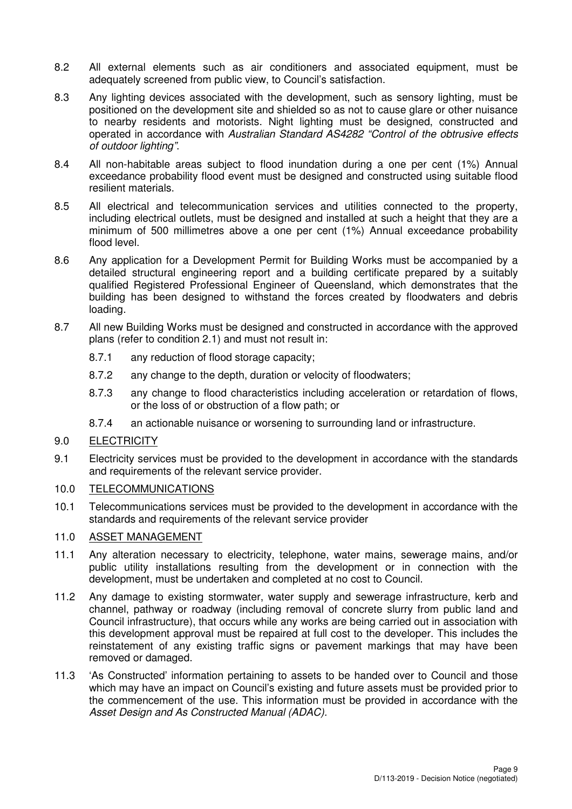- 8.2 All external elements such as air conditioners and associated equipment, must be adequately screened from public view, to Council's satisfaction.
- 8.3 Any lighting devices associated with the development, such as sensory lighting, must be positioned on the development site and shielded so as not to cause glare or other nuisance to nearby residents and motorists. Night lighting must be designed, constructed and operated in accordance with Australian Standard AS4282 "Control of the obtrusive effects of outdoor lighting".
- 8.4 All non-habitable areas subject to flood inundation during a one per cent (1%) Annual exceedance probability flood event must be designed and constructed using suitable flood resilient materials.
- 8.5 All electrical and telecommunication services and utilities connected to the property, including electrical outlets, must be designed and installed at such a height that they are a minimum of 500 millimetres above a one per cent (1%) Annual exceedance probability flood level.
- 8.6 Any application for a Development Permit for Building Works must be accompanied by a detailed structural engineering report and a building certificate prepared by a suitably qualified Registered Professional Engineer of Queensland, which demonstrates that the building has been designed to withstand the forces created by floodwaters and debris loading.
- 8.7 All new Building Works must be designed and constructed in accordance with the approved plans (refer to condition 2.1) and must not result in:
	- 8.7.1 any reduction of flood storage capacity;
	- 8.7.2 any change to the depth, duration or velocity of floodwaters;
	- 8.7.3 any change to flood characteristics including acceleration or retardation of flows, or the loss of or obstruction of a flow path; or
	- 8.7.4 an actionable nuisance or worsening to surrounding land or infrastructure.
- 9.0 ELECTRICITY
- 9.1 Electricity services must be provided to the development in accordance with the standards and requirements of the relevant service provider.

# 10.0 TELECOMMUNICATIONS

10.1 Telecommunications services must be provided to the development in accordance with the standards and requirements of the relevant service provider

#### 11.0 ASSET MANAGEMENT

- 11.1 Any alteration necessary to electricity, telephone, water mains, sewerage mains, and/or public utility installations resulting from the development or in connection with the development, must be undertaken and completed at no cost to Council.
- 11.2 Any damage to existing stormwater, water supply and sewerage infrastructure, kerb and channel, pathway or roadway (including removal of concrete slurry from public land and Council infrastructure), that occurs while any works are being carried out in association with this development approval must be repaired at full cost to the developer. This includes the reinstatement of any existing traffic signs or pavement markings that may have been removed or damaged.
- 11.3 'As Constructed' information pertaining to assets to be handed over to Council and those which may have an impact on Council's existing and future assets must be provided prior to the commencement of the use. This information must be provided in accordance with the Asset Design and As Constructed Manual (ADAC).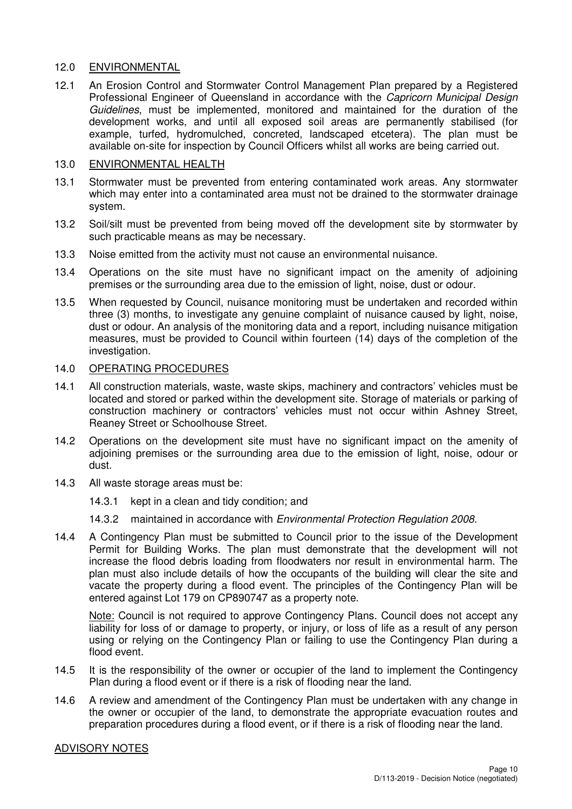### 12.0 ENVIRONMENTAL

12.1 An Erosion Control and Stormwater Control Management Plan prepared by a Registered Professional Engineer of Queensland in accordance with the Capricorn Municipal Design Guidelines, must be implemented, monitored and maintained for the duration of the development works, and until all exposed soil areas are permanently stabilised (for example, turfed, hydromulched, concreted, landscaped etcetera). The plan must be available on-site for inspection by Council Officers whilst all works are being carried out.

#### 13.0 ENVIRONMENTAL HEALTH

- 13.1 Stormwater must be prevented from entering contaminated work areas. Any stormwater which may enter into a contaminated area must not be drained to the stormwater drainage system.
- 13.2 Soil/silt must be prevented from being moved off the development site by stormwater by such practicable means as may be necessary.
- 13.3 Noise emitted from the activity must not cause an environmental nuisance.
- 13.4 Operations on the site must have no significant impact on the amenity of adjoining premises or the surrounding area due to the emission of light, noise, dust or odour.
- 13.5 When requested by Council, nuisance monitoring must be undertaken and recorded within three (3) months, to investigate any genuine complaint of nuisance caused by light, noise, dust or odour. An analysis of the monitoring data and a report, including nuisance mitigation measures, must be provided to Council within fourteen (14) days of the completion of the investigation.

#### 14.0 OPERATING PROCEDURES

- 14.1 All construction materials, waste, waste skips, machinery and contractors' vehicles must be located and stored or parked within the development site. Storage of materials or parking of construction machinery or contractors' vehicles must not occur within Ashney Street, Reaney Street or Schoolhouse Street.
- 14.2 Operations on the development site must have no significant impact on the amenity of adjoining premises or the surrounding area due to the emission of light, noise, odour or dust.
- 14.3 All waste storage areas must be:
	- 14.3.1 kept in a clean and tidy condition; and
	- 14.3.2 maintained in accordance with *Environmental Protection Regulation 2008*.
- 14.4 A Contingency Plan must be submitted to Council prior to the issue of the Development Permit for Building Works. The plan must demonstrate that the development will not increase the flood debris loading from floodwaters nor result in environmental harm. The plan must also include details of how the occupants of the building will clear the site and vacate the property during a flood event. The principles of the Contingency Plan will be entered against Lot 179 on CP890747 as a property note.

Note: Council is not required to approve Contingency Plans. Council does not accept any liability for loss of or damage to property, or injury, or loss of life as a result of any person using or relying on the Contingency Plan or failing to use the Contingency Plan during a flood event.

- 14.5 It is the responsibility of the owner or occupier of the land to implement the Contingency Plan during a flood event or if there is a risk of flooding near the land.
- 14.6 A review and amendment of the Contingency Plan must be undertaken with any change in the owner or occupier of the land, to demonstrate the appropriate evacuation routes and preparation procedures during a flood event, or if there is a risk of flooding near the land.

#### ADVISORY NOTES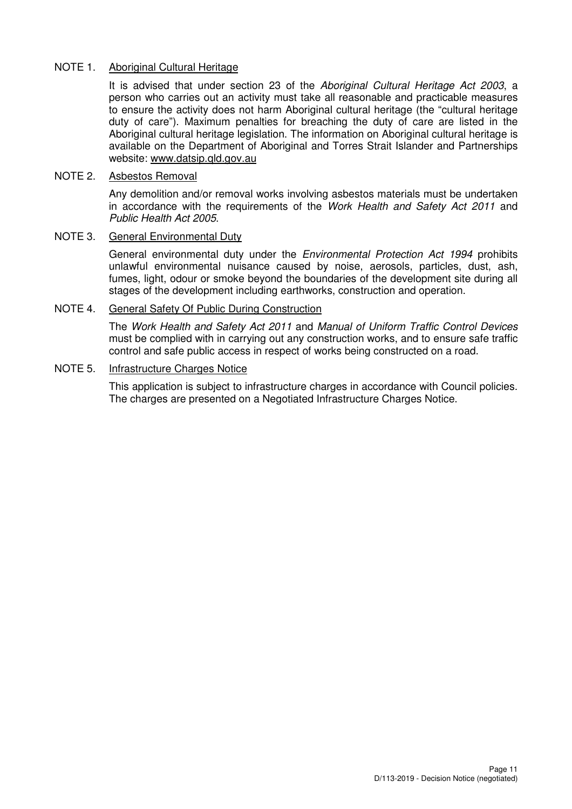# NOTE 1. Aboriginal Cultural Heritage

It is advised that under section 23 of the Aboriginal Cultural Heritage Act 2003, a person who carries out an activity must take all reasonable and practicable measures to ensure the activity does not harm Aboriginal cultural heritage (the "cultural heritage duty of care"). Maximum penalties for breaching the duty of care are listed in the Aboriginal cultural heritage legislation. The information on Aboriginal cultural heritage is available on the Department of Aboriginal and Torres Strait Islander and Partnerships website: www.datsip.qld.gov.au

### NOTE 2. Asbestos Removal

Any demolition and/or removal works involving asbestos materials must be undertaken in accordance with the requirements of the Work Health and Safety Act 2011 and Public Health Act 2005.

# NOTE 3. General Environmental Duty

General environmental duty under the Environmental Protection Act 1994 prohibits unlawful environmental nuisance caused by noise, aerosols, particles, dust, ash, fumes, light, odour or smoke beyond the boundaries of the development site during all stages of the development including earthworks, construction and operation.

#### NOTE 4. General Safety Of Public During Construction

The Work Health and Safety Act 2011 and Manual of Uniform Traffic Control Devices must be complied with in carrying out any construction works, and to ensure safe traffic control and safe public access in respect of works being constructed on a road.

#### NOTE 5. Infrastructure Charges Notice

This application is subject to infrastructure charges in accordance with Council policies. The charges are presented on a Negotiated Infrastructure Charges Notice.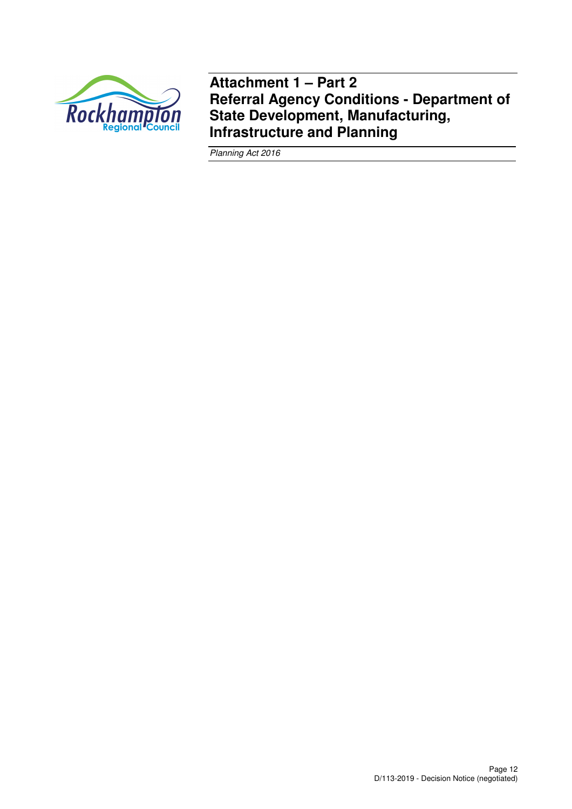

**Attachment 1 – Part 2 Referral Agency Conditions - Department of State Development, Manufacturing, Infrastructure and Planning** 

Planning Act 2016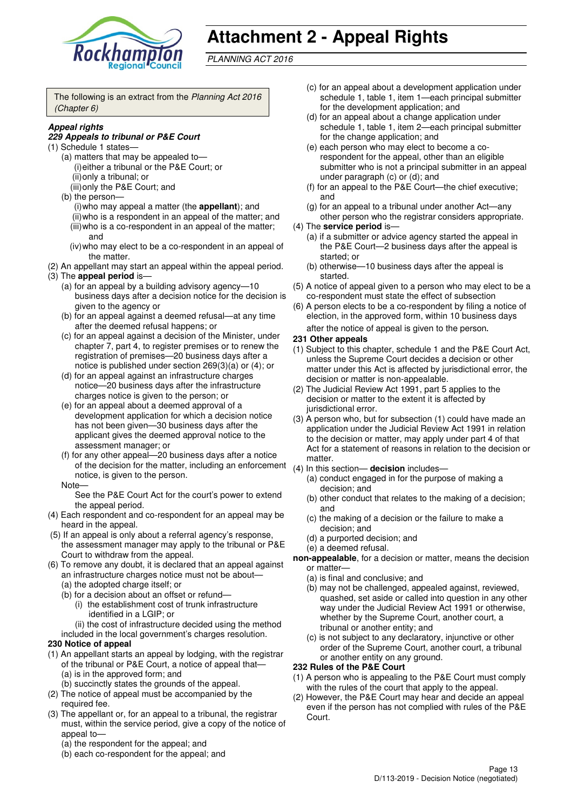

# **Attachment 2 - Appeal Rights**

PLANNING ACT 2016

The following is an extract from the Planning Act 2016 (Chapter 6)

#### **Appeal rights**

#### **229 Appeals to tribunal or P&E Court**

- (1) Schedule 1 states—
	- (a) matters that may be appealed to— (i) either a tribunal or the P&E Court; or (ii) only a tribunal; or
	- (iii) only the P&E Court; and
	- (b) the person— (i) who may appeal a matter (the **appellant**); and (ii) who is a respondent in an appeal of the matter; and
		- (iii) who is a co-respondent in an appeal of the matter; and
		- (iv) who may elect to be a co-respondent in an appeal of the matter.
- (2) An appellant may start an appeal within the appeal period. (3) The **appeal period** is—
	- (a) for an appeal by a building advisory agency—10 business days after a decision notice for the decision is given to the agency or
	- (b) for an appeal against a deemed refusal—at any time after the deemed refusal happens; or
	- (c) for an appeal against a decision of the Minister, under chapter 7, part 4, to register premises or to renew the registration of premises—20 business days after a notice is published under section 269(3)(a) or (4); or
	- (d) for an appeal against an infrastructure charges notice—20 business days after the infrastructure charges notice is given to the person; or
	- (e) for an appeal about a deemed approval of a development application for which a decision notice has not been given—30 business days after the applicant gives the deemed approval notice to the assessment manager; or
	- (f) for any other appeal—20 business days after a notice of the decision for the matter, including an enforcement notice, is given to the person.

#### Note—

See the P&E Court Act for the court's power to extend the appeal period.

- (4) Each respondent and co-respondent for an appeal may be heard in the appeal.
- (5) If an appeal is only about a referral agency's response, the assessment manager may apply to the tribunal or P&E Court to withdraw from the appeal.
- (6) To remove any doubt, it is declared that an appeal against an infrastructure charges notice must not be about—
	- (a) the adopted charge itself; or
	- (b) for a decision about an offset or refund— (i) the establishment cost of trunk infrastructure identified in a LGIP; or

(ii) the cost of infrastructure decided using the method

included in the local government's charges resolution. **230 Notice of appeal** 

- (1) An appellant starts an appeal by lodging, with the registrar of the tribunal or P&E Court, a notice of appeal that— (a) is in the approved form; and
	- (b) succinctly states the grounds of the appeal.
- (2) The notice of appeal must be accompanied by the required fee.
- (3) The appellant or, for an appeal to a tribunal, the registrar must, within the service period, give a copy of the notice of appeal to—
	- (a) the respondent for the appeal; and
	- (b) each co-respondent for the appeal; and
- (c) for an appeal about a development application under schedule 1, table 1, item 1—each principal submitter for the development application; and
- (d) for an appeal about a change application under schedule 1, table 1, item 2—each principal submitter for the change application; and
- (e) each person who may elect to become a corespondent for the appeal, other than an eligible submitter who is not a principal submitter in an appeal under paragraph (c) or (d); and
- (f) for an appeal to the P&E Court—the chief executive; and
- (g) for an appeal to a tribunal under another Act—any other person who the registrar considers appropriate.
- (4) The **service period** is—
	- (a) if a submitter or advice agency started the appeal in the P&E Court—2 business days after the appeal is started; or
	- (b) otherwise—10 business days after the appeal is started.
- (5) A notice of appeal given to a person who may elect to be a co-respondent must state the effect of subsection
- (6) A person elects to be a co-respondent by filing a notice of election, in the approved form, within 10 business days after the notice of appeal is given to the person*.*

#### **231 Other appeals**

- (1) Subject to this chapter, schedule 1 and the P&E Court Act, unless the Supreme Court decides a decision or other matter under this Act is affected by jurisdictional error, the decision or matter is non-appealable.
- (2) The Judicial Review Act 1991, part 5 applies to the decision or matter to the extent it is affected by jurisdictional error.
- (3) A person who, but for subsection (1) could have made an application under the Judicial Review Act 1991 in relation to the decision or matter, may apply under part 4 of that Act for a statement of reasons in relation to the decision or matter.
- (4) In this section— **decision** includes—
	- (a) conduct engaged in for the purpose of making a decision; and
	- (b) other conduct that relates to the making of a decision; and
	- (c) the making of a decision or the failure to make a decision; and
	- (d) a purported decision; and
	- (e) a deemed refusal.
- **non-appealable**, for a decision or matter, means the decision or matter—
	- (a) is final and conclusive; and
	- (b) may not be challenged, appealed against, reviewed, quashed, set aside or called into question in any other way under the Judicial Review Act 1991 or otherwise, whether by the Supreme Court, another court, a tribunal or another entity; and
	- (c) is not subject to any declaratory, injunctive or other order of the Supreme Court, another court, a tribunal or another entity on any ground.

#### **232 Rules of the P&E Court**

- (1) A person who is appealing to the P&E Court must comply with the rules of the court that apply to the appeal.
- (2) However, the P&E Court may hear and decide an appeal even if the person has not complied with rules of the P&E Court.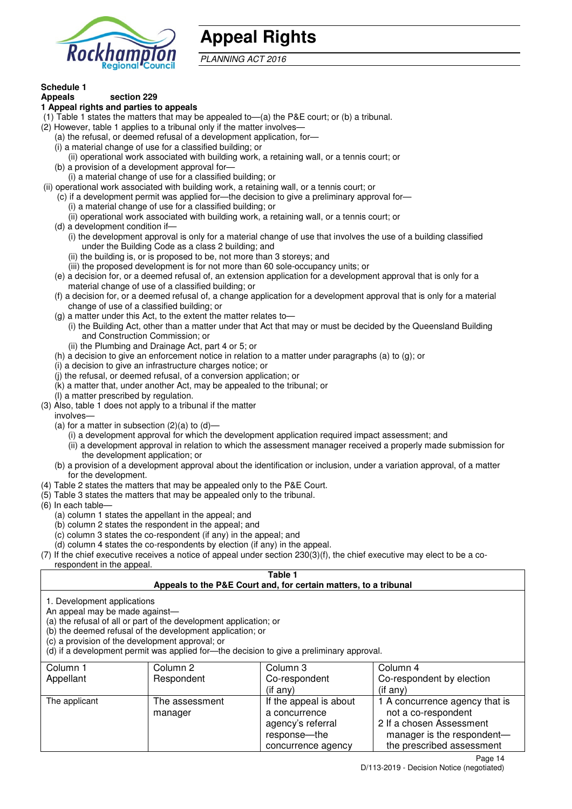

# **Appeal Rights**

PLANNING ACT 2016

# **Schedule 1**

#### **Appeals section 229 1 Appeal rights and parties to appeals**

- (1) Table 1 states the matters that may be appealed to—(a) the P&E court; or (b) a tribunal.
- (2) However, table 1 applies to a tribunal only if the matter involves—
	- (a) the refusal, or deemed refusal of a development application, for—
	- (i) a material change of use for a classified building; or
	- (ii) operational work associated with building work, a retaining wall, or a tennis court; or
	- (b) a provision of a development approval for—
	- (i) a material change of use for a classified building; or
- (ii) operational work associated with building work, a retaining wall, or a tennis court; or
	- (c) if a development permit was applied for—the decision to give a preliminary approval for—
		- (i) a material change of use for a classified building; or
		- (ii) operational work associated with building work, a retaining wall, or a tennis court; or
	- (d) a development condition if—
		- (i) the development approval is only for a material change of use that involves the use of a building classified under the Building Code as a class 2 building; and
		- (ii) the building is, or is proposed to be, not more than 3 storeys; and
		- (iii) the proposed development is for not more than 60 sole-occupancy units; or
	- (e) a decision for, or a deemed refusal of, an extension application for a development approval that is only for a material change of use of a classified building; or
	- (f) a decision for, or a deemed refusal of, a change application for a development approval that is only for a material change of use of a classified building; or
	- (g) a matter under this Act, to the extent the matter relates to—
		- (i) the Building Act, other than a matter under that Act that may or must be decided by the Queensland Building and Construction Commission; or
			- (ii) the Plumbing and Drainage Act, part 4 or 5; or
	- (h) a decision to give an enforcement notice in relation to a matter under paragraphs (a) to (g); or
	- (i) a decision to give an infrastructure charges notice; or
	- (j) the refusal, or deemed refusal, of a conversion application; or
	- (k) a matter that, under another Act, may be appealed to the tribunal; or
	- (l) a matter prescribed by regulation.
- (3) Also, table 1 does not apply to a tribunal if the matter
- involves—
	- (a) for a matter in subsection  $(2)(a)$  to  $(d)$ -
		- (i) a development approval for which the development application required impact assessment; and
		- (ii) a development approval in relation to which the assessment manager received a properly made submission for the development application; or
	- (b) a provision of a development approval about the identification or inclusion, under a variation approval, of a matter for the development.
- (4) Table 2 states the matters that may be appealed only to the P&E Court.
- (5) Table 3 states the matters that may be appealed only to the tribunal.
- (6) In each table—
	- (a) column 1 states the appellant in the appeal; and
	- (b) column 2 states the respondent in the appeal; and
	- (c) column 3 states the co-respondent (if any) in the appeal; and
	- (d) column 4 states the co-respondents by election (if any) in the appeal.
- (7) If the chief executive receives a notice of appeal under section 230(3)(f), the chief executive may elect to be a corespondent in the appeal.

#### **Table 1**

# **Appeals to the P&E Court and, for certain matters, to a tribunal**

1. Development applications

An appeal may be made against—

(a) the refusal of all or part of the development application; or

(b) the deemed refusal of the development application; or

(c) a provision of the development approval; or

(d) if a development permit was applied for—the decision to give a preliminary approval.

| Column 1      | Column 2       | Column 3               | Column 4                       |
|---------------|----------------|------------------------|--------------------------------|
| Appellant     | Respondent     | Co-respondent          | Co-respondent by election      |
|               |                | $(i$ f any)            | $(i$ f any)                    |
| The applicant | The assessment | If the appeal is about | 1 A concurrence agency that is |
|               | manager        | a concurrence          | not a co-respondent            |
|               |                | agency's referral      | 2 If a chosen Assessment       |
|               |                | response—the           | manager is the respondent-     |
|               |                | concurrence agency     | the prescribed assessment      |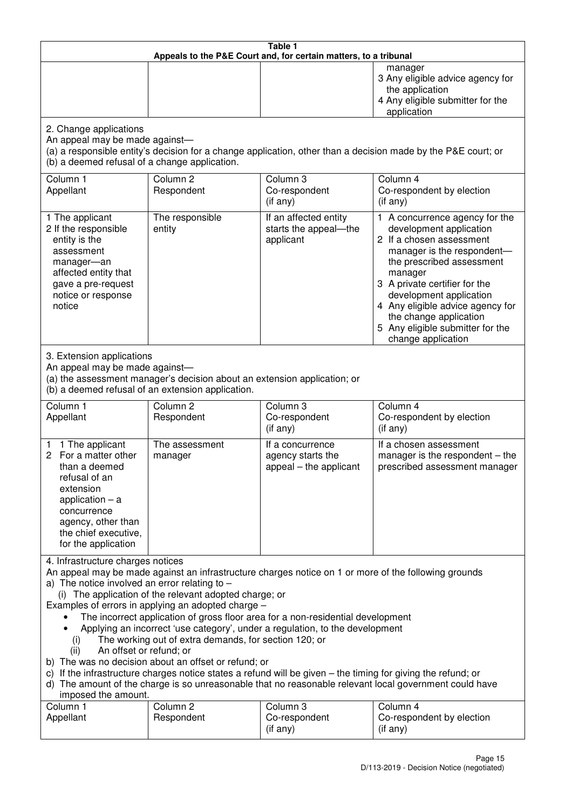| Table 1<br>Appeals to the P&E Court and, for certain matters, to a tribunal                                                                                                                                                                                                                                                                                                                                                                                                                                                                                                                                                                                                                                                                                                                                                                                                                 |                                                                                                                               |                                                                 |                                                                                                                                                                                                                                                                                                                                                 |  |  |
|---------------------------------------------------------------------------------------------------------------------------------------------------------------------------------------------------------------------------------------------------------------------------------------------------------------------------------------------------------------------------------------------------------------------------------------------------------------------------------------------------------------------------------------------------------------------------------------------------------------------------------------------------------------------------------------------------------------------------------------------------------------------------------------------------------------------------------------------------------------------------------------------|-------------------------------------------------------------------------------------------------------------------------------|-----------------------------------------------------------------|-------------------------------------------------------------------------------------------------------------------------------------------------------------------------------------------------------------------------------------------------------------------------------------------------------------------------------------------------|--|--|
|                                                                                                                                                                                                                                                                                                                                                                                                                                                                                                                                                                                                                                                                                                                                                                                                                                                                                             |                                                                                                                               |                                                                 | manager<br>3 Any eligible advice agency for<br>the application<br>4 Any eligible submitter for the<br>application                                                                                                                                                                                                                               |  |  |
| 2. Change applications<br>An appeal may be made against-<br>(b) a deemed refusal of a change application.                                                                                                                                                                                                                                                                                                                                                                                                                                                                                                                                                                                                                                                                                                                                                                                   |                                                                                                                               |                                                                 | (a) a responsible entity's decision for a change application, other than a decision made by the P&E court; or                                                                                                                                                                                                                                   |  |  |
| Column 1<br>Appellant                                                                                                                                                                                                                                                                                                                                                                                                                                                                                                                                                                                                                                                                                                                                                                                                                                                                       | Column <sub>2</sub><br>Respondent                                                                                             | Column 3<br>Co-respondent<br>(if any)                           | Column 4<br>Co-respondent by election<br>(if any)                                                                                                                                                                                                                                                                                               |  |  |
| 1 The applicant<br>2 If the responsible<br>entity is the<br>assessment<br>manager-an<br>affected entity that<br>gave a pre-request<br>notice or response<br>notice                                                                                                                                                                                                                                                                                                                                                                                                                                                                                                                                                                                                                                                                                                                          | The responsible<br>entity                                                                                                     | If an affected entity<br>starts the appeal-the<br>applicant     | 1 A concurrence agency for the<br>development application<br>2 If a chosen assessment<br>manager is the respondent-<br>the prescribed assessment<br>manager<br>3 A private certifier for the<br>development application<br>4 Any eligible advice agency for<br>the change application<br>5 Any eligible submitter for the<br>change application |  |  |
| 3. Extension applications<br>An appeal may be made against-                                                                                                                                                                                                                                                                                                                                                                                                                                                                                                                                                                                                                                                                                                                                                                                                                                 | (a) the assessment manager's decision about an extension application; or<br>(b) a deemed refusal of an extension application. |                                                                 |                                                                                                                                                                                                                                                                                                                                                 |  |  |
| Column 1<br>Appellant                                                                                                                                                                                                                                                                                                                                                                                                                                                                                                                                                                                                                                                                                                                                                                                                                                                                       | Column <sub>2</sub><br>Respondent                                                                                             | Column 3<br>Co-respondent<br>(if any)                           | Column 4<br>Co-respondent by election<br>(if any)                                                                                                                                                                                                                                                                                               |  |  |
| 1 The applicant<br>For a matter other<br>2<br>than a deemed<br>refusal of an<br>extension<br>application $-$ a<br>concurrence<br>agency, other than<br>the chief executive,<br>for the application                                                                                                                                                                                                                                                                                                                                                                                                                                                                                                                                                                                                                                                                                          | The assessment<br>manager                                                                                                     | If a concurrence<br>agency starts the<br>appeal - the applicant | If a chosen assessment<br>manager is the respondent $-$ the<br>prescribed assessment manager                                                                                                                                                                                                                                                    |  |  |
| 4. Infrastructure charges notices<br>An appeal may be made against an infrastructure charges notice on 1 or more of the following grounds<br>a) The notice involved an error relating to $-$<br>(i) The application of the relevant adopted charge; or<br>Examples of errors in applying an adopted charge -<br>The incorrect application of gross floor area for a non-residential development<br>Applying an incorrect 'use category', under a regulation, to the development<br>The working out of extra demands, for section 120; or<br>(i)<br>An offset or refund; or<br>(ii)<br>b) The was no decision about an offset or refund; or<br>c) If the infrastructure charges notice states a refund will be given – the timing for giving the refund; or<br>d) The amount of the charge is so unreasonable that no reasonable relevant local government could have<br>imposed the amount. |                                                                                                                               |                                                                 |                                                                                                                                                                                                                                                                                                                                                 |  |  |
| Column 1<br>Appellant                                                                                                                                                                                                                                                                                                                                                                                                                                                                                                                                                                                                                                                                                                                                                                                                                                                                       | Column <sub>2</sub><br>Respondent                                                                                             | Column 3<br>Co-respondent<br>(if any)                           | Column 4<br>Co-respondent by election<br>(if any)                                                                                                                                                                                                                                                                                               |  |  |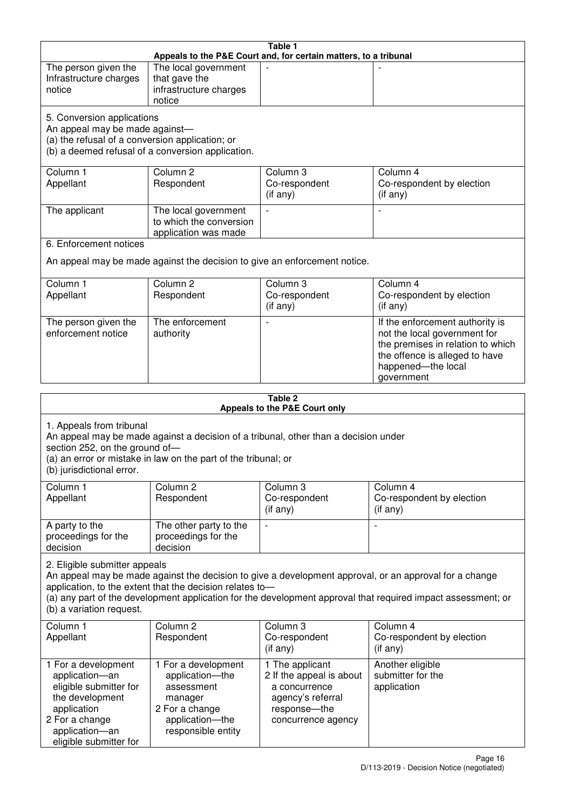| Table 1<br>Appeals to the P&E Court and, for certain matters, to a tribunal |                                                                                     |                          |                                                                                                              |  |  |  |
|-----------------------------------------------------------------------------|-------------------------------------------------------------------------------------|--------------------------|--------------------------------------------------------------------------------------------------------------|--|--|--|
| The person given the                                                        | The local government                                                                |                          |                                                                                                              |  |  |  |
| Infrastructure charges                                                      | that gave the                                                                       |                          |                                                                                                              |  |  |  |
| notice                                                                      | infrastructure charges                                                              |                          |                                                                                                              |  |  |  |
|                                                                             | notice                                                                              |                          |                                                                                                              |  |  |  |
| 5. Conversion applications                                                  |                                                                                     |                          |                                                                                                              |  |  |  |
| An appeal may be made against-                                              |                                                                                     |                          |                                                                                                              |  |  |  |
| (a) the refusal of a conversion application; or                             |                                                                                     |                          |                                                                                                              |  |  |  |
|                                                                             | (b) a deemed refusal of a conversion application.                                   |                          |                                                                                                              |  |  |  |
| Column 1                                                                    | Column <sub>2</sub>                                                                 | Column 3                 | Column 4                                                                                                     |  |  |  |
| Appellant                                                                   | Respondent                                                                          | Co-respondent            | Co-respondent by election                                                                                    |  |  |  |
|                                                                             |                                                                                     | (if any)                 | (if any)                                                                                                     |  |  |  |
| The applicant                                                               | The local government                                                                |                          |                                                                                                              |  |  |  |
|                                                                             | to which the conversion                                                             |                          |                                                                                                              |  |  |  |
|                                                                             | application was made                                                                |                          |                                                                                                              |  |  |  |
| 6. Enforcement notices                                                      |                                                                                     |                          |                                                                                                              |  |  |  |
|                                                                             | An appeal may be made against the decision to give an enforcement notice.           |                          |                                                                                                              |  |  |  |
|                                                                             |                                                                                     |                          |                                                                                                              |  |  |  |
| Column 1                                                                    | Column <sub>2</sub>                                                                 | Column 3                 | Column 4                                                                                                     |  |  |  |
| Appellant                                                                   | Respondent                                                                          | Co-respondent            | Co-respondent by election<br>$($ if any $)$                                                                  |  |  |  |
|                                                                             |                                                                                     | (if any)                 |                                                                                                              |  |  |  |
| The person given the                                                        | The enforcement                                                                     |                          | If the enforcement authority is                                                                              |  |  |  |
| enforcement notice                                                          | authority                                                                           |                          | not the local government for<br>the premises in relation to which                                            |  |  |  |
|                                                                             |                                                                                     |                          | the offence is alleged to have                                                                               |  |  |  |
|                                                                             |                                                                                     |                          | happened-the local                                                                                           |  |  |  |
|                                                                             |                                                                                     |                          | government                                                                                                   |  |  |  |
|                                                                             |                                                                                     |                          |                                                                                                              |  |  |  |
| Table 2<br>Appeals to the P&E Court only                                    |                                                                                     |                          |                                                                                                              |  |  |  |
|                                                                             |                                                                                     |                          |                                                                                                              |  |  |  |
|                                                                             |                                                                                     |                          |                                                                                                              |  |  |  |
| 1. Appeals from tribunal                                                    |                                                                                     |                          |                                                                                                              |  |  |  |
| section 252, on the ground of-                                              | An appeal may be made against a decision of a tribunal, other than a decision under |                          |                                                                                                              |  |  |  |
|                                                                             | (a) an error or mistake in law on the part of the tribunal; or                      |                          |                                                                                                              |  |  |  |
| (b) jurisdictional error.                                                   |                                                                                     |                          |                                                                                                              |  |  |  |
| Column 1                                                                    | Column <sub>2</sub>                                                                 | Column 3                 | Column 4                                                                                                     |  |  |  |
| Appellant                                                                   | Respondent                                                                          | Co-respondent            | Co-respondent by election                                                                                    |  |  |  |
|                                                                             |                                                                                     | (if any)                 | (if any)                                                                                                     |  |  |  |
| A party to the                                                              | The other party to the                                                              |                          | $\overline{a}$                                                                                               |  |  |  |
| proceedings for the                                                         | proceedings for the                                                                 |                          |                                                                                                              |  |  |  |
| decision                                                                    | decision                                                                            |                          |                                                                                                              |  |  |  |
| 2. Eligible submitter appeals                                               |                                                                                     |                          |                                                                                                              |  |  |  |
|                                                                             |                                                                                     |                          | An appeal may be made against the decision to give a development approval, or an approval for a change       |  |  |  |
|                                                                             | application, to the extent that the decision relates to-                            |                          |                                                                                                              |  |  |  |
|                                                                             |                                                                                     |                          | (a) any part of the development application for the development approval that required impact assessment; or |  |  |  |
| (b) a variation request.                                                    |                                                                                     |                          |                                                                                                              |  |  |  |
| Column <sub>1</sub>                                                         | Column <sub>2</sub>                                                                 | Column <sub>3</sub>      | Column 4                                                                                                     |  |  |  |
| Appellant                                                                   | Respondent                                                                          | Co-respondent            | Co-respondent by election                                                                                    |  |  |  |
|                                                                             |                                                                                     | (if any)                 | (if any)                                                                                                     |  |  |  |
| 1 For a development                                                         | 1 For a development                                                                 | 1 The applicant          | Another eligible                                                                                             |  |  |  |
| application-an                                                              | application-the                                                                     | 2 If the appeal is about | submitter for the                                                                                            |  |  |  |
| eligible submitter for                                                      | assessment                                                                          | a concurrence            | application                                                                                                  |  |  |  |
| the development                                                             | manager                                                                             | agency's referral        |                                                                                                              |  |  |  |
| application                                                                 | 2 For a change                                                                      | response-the             |                                                                                                              |  |  |  |
| 2 For a change<br>application-an                                            | application-the<br>responsible entity                                               | concurrence agency       |                                                                                                              |  |  |  |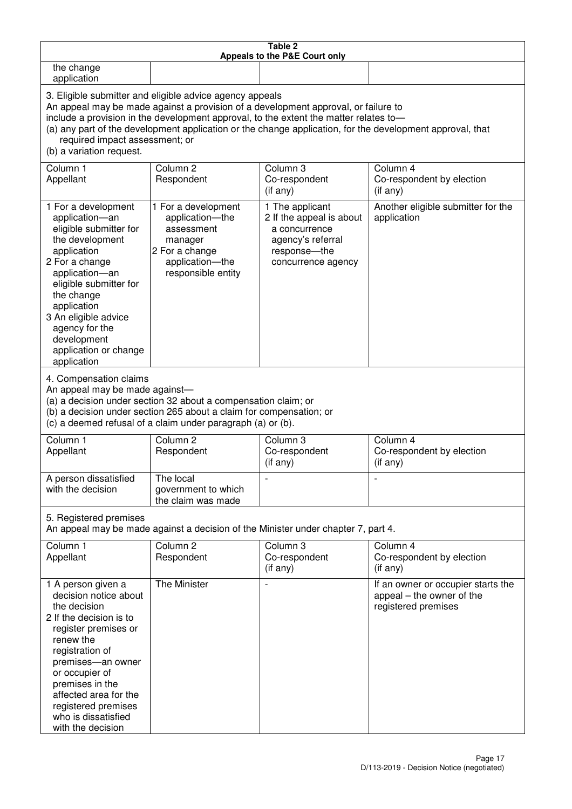| Table 2<br>Appeals to the P&E Court only                                                                                                                                                                                                                                                                                                                                                                           |                                                                                                                                                                                                      |                                                                                                                         |                                                                                        |  |  |  |
|--------------------------------------------------------------------------------------------------------------------------------------------------------------------------------------------------------------------------------------------------------------------------------------------------------------------------------------------------------------------------------------------------------------------|------------------------------------------------------------------------------------------------------------------------------------------------------------------------------------------------------|-------------------------------------------------------------------------------------------------------------------------|----------------------------------------------------------------------------------------|--|--|--|
| the change<br>application                                                                                                                                                                                                                                                                                                                                                                                          |                                                                                                                                                                                                      |                                                                                                                         |                                                                                        |  |  |  |
| 3. Eligible submitter and eligible advice agency appeals<br>An appeal may be made against a provision of a development approval, or failure to<br>include a provision in the development approval, to the extent the matter relates to-<br>(a) any part of the development application or the change application, for the development approval, that<br>required impact assessment; or<br>(b) a variation request. |                                                                                                                                                                                                      |                                                                                                                         |                                                                                        |  |  |  |
| Column <sub>1</sub><br>Appellant                                                                                                                                                                                                                                                                                                                                                                                   | Column <sub>2</sub><br>Respondent                                                                                                                                                                    | Column <sub>3</sub><br>Co-respondent<br>(if any)                                                                        | Column 4<br>Co-respondent by election<br>(if any)                                      |  |  |  |
| 1 For a development<br>application-an<br>eligible submitter for<br>the development<br>application<br>2 For a change<br>application-an<br>eligible submitter for<br>the change<br>application<br>3 An eligible advice<br>agency for the<br>development<br>application or change<br>application                                                                                                                      | 1 For a development<br>application-the<br>assessment<br>manager<br>2 For a change<br>application-the<br>responsible entity                                                                           | 1 The applicant<br>2 If the appeal is about<br>a concurrence<br>agency's referral<br>response-the<br>concurrence agency | Another eligible submitter for the<br>application                                      |  |  |  |
| 4. Compensation claims<br>An appeal may be made against-                                                                                                                                                                                                                                                                                                                                                           | (a) a decision under section 32 about a compensation claim; or<br>(b) a decision under section 265 about a claim for compensation; or<br>(c) a deemed refusal of a claim under paragraph (a) or (b). |                                                                                                                         |                                                                                        |  |  |  |
| Column <sub>1</sub><br>Appellant                                                                                                                                                                                                                                                                                                                                                                                   | Column <sub>2</sub><br>Respondent                                                                                                                                                                    | Column 3<br>Co-respondent<br>(if any)                                                                                   | Column 4<br>Co-respondent by election<br>(if any)                                      |  |  |  |
| A person dissatisfied<br>with the decision                                                                                                                                                                                                                                                                                                                                                                         | The local<br>government to which<br>the claim was made                                                                                                                                               |                                                                                                                         |                                                                                        |  |  |  |
| 5. Registered premises                                                                                                                                                                                                                                                                                                                                                                                             | An appeal may be made against a decision of the Minister under chapter 7, part 4.                                                                                                                    |                                                                                                                         |                                                                                        |  |  |  |
| Column 1<br>Appellant                                                                                                                                                                                                                                                                                                                                                                                              | Column <sub>2</sub><br>Respondent                                                                                                                                                                    | Column 3<br>Co-respondent<br>(if any)                                                                                   | Column 4<br>Co-respondent by election<br>(if any)                                      |  |  |  |
| 1 A person given a<br>decision notice about<br>the decision<br>2 If the decision is to<br>register premises or<br>renew the<br>registration of<br>premises-an owner<br>or occupier of<br>premises in the<br>affected area for the<br>registered premises<br>who is dissatisfied<br>with the decision                                                                                                               | The Minister                                                                                                                                                                                         |                                                                                                                         | If an owner or occupier starts the<br>appeal – the owner of the<br>registered premises |  |  |  |